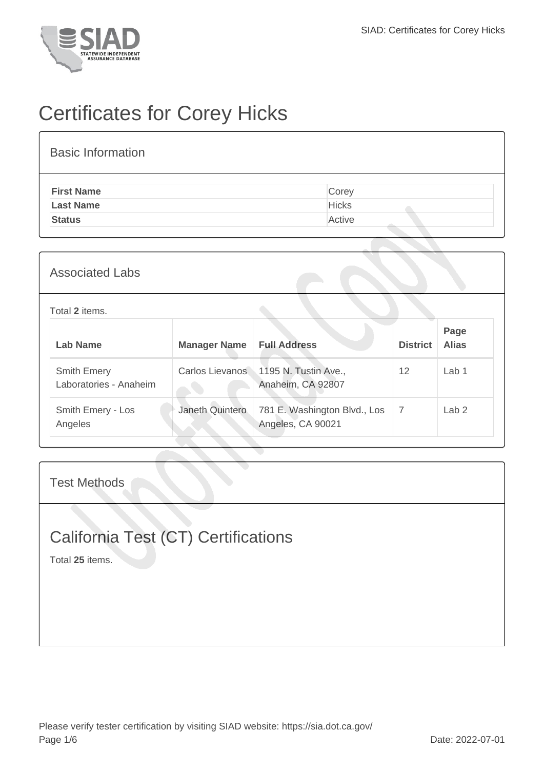

# Certificates for Corey Hicks

| <b>Basic Information</b> |              |
|--------------------------|--------------|
| <b>First Name</b>        | Corey        |
| <b>Last Name</b>         | <b>Hicks</b> |
| <b>Status</b>            | Active       |

### Associated Labs

#### Total **2** items.

| Lab Name                                     | <b>Manager Name</b> | <b>Full Address</b>                                       | <b>District</b> | Page<br><b>Alias</b> |
|----------------------------------------------|---------------------|-----------------------------------------------------------|-----------------|----------------------|
| <b>Smith Emery</b><br>Laboratories - Anaheim |                     | Carlos Lievanos 1195 N. Tustin Ave.,<br>Anaheim, CA 92807 | 12              | Lab <sub>1</sub>     |
| Smith Emery - Los<br>Angeles                 | Janeth Quintero     | 781 E. Washington Blvd., Los<br>Angeles, CA 90021         |                 | Lab <sub>2</sub>     |

#### Test Methods

### California Test (CT) Certifications

Total **25** items.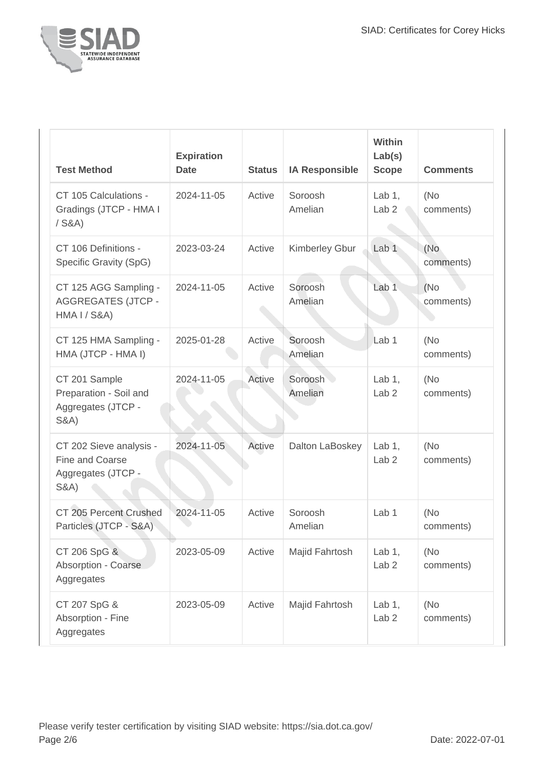

| <b>Test Method</b>                                                                   | <b>Expiration</b><br><b>Date</b> | <b>Status</b> | <b>IA Responsible</b> | Within<br>Lab(s)<br><b>Scope</b> | <b>Comments</b>   |
|--------------------------------------------------------------------------------------|----------------------------------|---------------|-----------------------|----------------------------------|-------------------|
| CT 105 Calculations -<br>Gradings (JTCP - HMA I<br>$/$ S&A)                          | 2024-11-05                       | Active        | Soroosh<br>Amelian    | Lab $1$ ,<br>Lab <sub>2</sub>    | (No)<br>comments) |
| CT 106 Definitions -<br>Specific Gravity (SpG)                                       | 2023-03-24                       | Active        | Kimberley Gbur        | Lab <sub>1</sub>                 | (No<br>comments)  |
| CT 125 AGG Sampling -<br><b>AGGREGATES (JTCP -</b><br>HMA I / S&A)                   | 2024-11-05                       | Active        | Soroosh<br>Amelian    | Lab <sub>1</sub>                 | (No)<br>comments) |
| CT 125 HMA Sampling -<br>HMA (JTCP - HMA I)                                          | 2025-01-28                       | Active        | Soroosh<br>Amelian    | Lab <sub>1</sub>                 | (No<br>comments)  |
| CT 201 Sample<br>Preparation - Soil and<br>Aggregates (JTCP -<br><b>S&amp;A)</b>     | 2024-11-05                       | Active        | Soroosh<br>Amelian    | Lab $1$ ,<br>Lab <sub>2</sub>    | (No<br>comments)  |
| CT 202 Sieve analysis -<br>Fine and Coarse<br>Aggregates (JTCP -<br><b>S&amp;A</b> ) | 2024-11-05                       | Active        | Dalton LaBoskey       | Lab $1$ ,<br>Lab <sub>2</sub>    | (No<br>comments)  |
| CT 205 Percent Crushed<br>Particles (JTCP - S&A)                                     | 2024-11-05                       | Active        | Soroosh<br>Amelian    | Lab <sub>1</sub>                 | (No)<br>comments) |
| CT 206 SpG &<br>Absorption - Coarse<br>Aggregates                                    | 2023-05-09                       | Active        | Majid Fahrtosh        | Lab $1,$<br>Lab <sub>2</sub>     | (No<br>comments)  |
| CT 207 SpG &<br>Absorption - Fine<br>Aggregates                                      | 2023-05-09                       | Active        | Majid Fahrtosh        | Lab $1,$<br>Lab <sub>2</sub>     | (No<br>comments)  |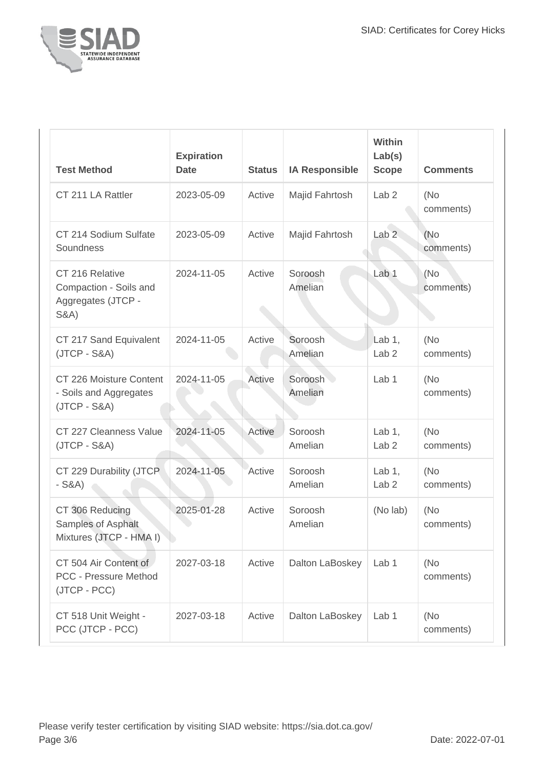

| <b>Test Method</b>                                                                 | <b>Expiration</b><br><b>Date</b> | <b>Status</b> | <b>IA Responsible</b> | Within<br>Lab(s)<br><b>Scope</b> | <b>Comments</b>  |
|------------------------------------------------------------------------------------|----------------------------------|---------------|-----------------------|----------------------------------|------------------|
| CT 211 LA Rattler                                                                  | 2023-05-09                       | Active        | Majid Fahrtosh        | Lab <sub>2</sub>                 | (No<br>comments) |
| CT 214 Sodium Sulfate<br>Soundness                                                 | 2023-05-09                       | Active        | Majid Fahrtosh        | Lab <sub>2</sub>                 | (No<br>comments) |
| CT 216 Relative<br>Compaction - Soils and<br>Aggregates (JTCP -<br><b>S&amp;A)</b> | 2024-11-05                       | Active        | Soroosh<br>Amelian    | Lab <sub>1</sub>                 | (No<br>comments) |
| CT 217 Sand Equivalent<br>$(JTCP - S&A)$                                           | 2024-11-05                       | Active        | Soroosh<br>Amelian    | Lab 1,<br>Lab <sub>2</sub>       | (No<br>comments) |
| CT 226 Moisture Content<br>- Soils and Aggregates<br>$(JTCP - S&A)$                | 2024-11-05                       | Active        | Soroosh<br>Amelian    | Lab 1                            | (No<br>comments) |
| CT 227 Cleanness Value<br>$(JTCP - S&A)$                                           | 2024-11-05                       | Active        | Soroosh<br>Amelian    | Lab $1,$<br>Lab <sub>2</sub>     | (No<br>comments) |
| CT 229 Durability (JTCP<br>$-S&A)$                                                 | 2024-11-05                       | Active        | Soroosh<br>Amelian    | Lab $1$ ,<br>Lab <sub>2</sub>    | (No<br>comments) |
| CT 306 Reducing<br>Samples of Asphalt<br>Mixtures (JTCP - HMA I)                   | 2025-01-28                       | Active        | Soroosh<br>Amelian    | (No lab)                         | (No<br>comments) |
| CT 504 Air Content of<br><b>PCC - Pressure Method</b><br>(JTCP - PCC)              | 2027-03-18                       | Active        | Dalton LaBoskey       | Lab <sub>1</sub>                 | (No<br>comments) |
| CT 518 Unit Weight -<br>PCC (JTCP - PCC)                                           | 2027-03-18                       | Active        | Dalton LaBoskey       | Lab <sub>1</sub>                 | (No<br>comments) |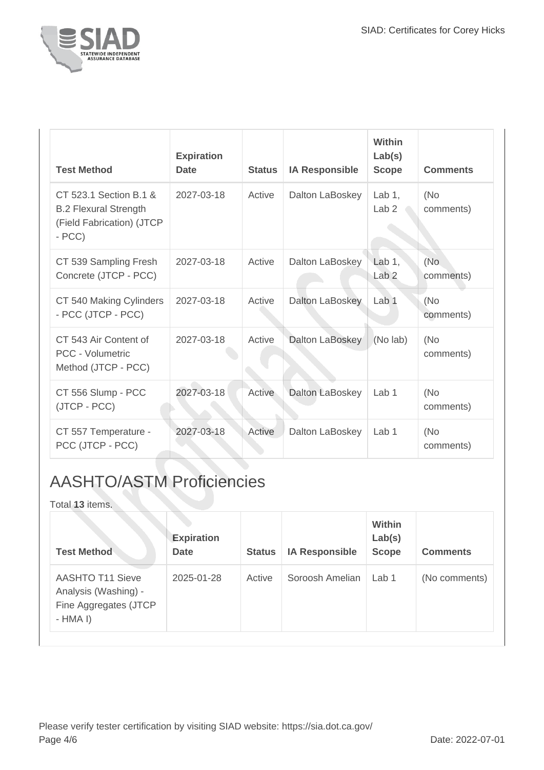

| <b>Test Method</b>                                                                             | <b>Expiration</b><br><b>Date</b> | <b>Status</b> | <b>IA Responsible</b> | Within<br>Lab(s)<br><b>Scope</b> | <b>Comments</b>  |
|------------------------------------------------------------------------------------------------|----------------------------------|---------------|-----------------------|----------------------------------|------------------|
| CT 523.1 Section B.1 &<br><b>B.2 Flexural Strength</b><br>(Field Fabrication) (JTCP<br>$- PCC$ | 2027-03-18                       | Active        | Dalton LaBoskey       | Lab $1$ ,<br>Lab <sub>2</sub>    | (No<br>comments) |
| CT 539 Sampling Fresh<br>Concrete (JTCP - PCC)                                                 | 2027-03-18                       | Active        | Dalton LaBoskey       | Lab $1$ ,<br>Lab <sub>2</sub>    | (No<br>comments) |
| CT 540 Making Cylinders<br>- PCC (JTCP - PCC)                                                  | 2027-03-18                       | Active        | Dalton LaBoskey       | Lab 1                            | (No<br>comments) |
| CT 543 Air Content of<br>PCC - Volumetric<br>Method (JTCP - PCC)                               | 2027-03-18                       | Active        | Dalton LaBoskey       | (No lab)                         | (No<br>comments) |
| CT 556 Slump - PCC<br>(JTCP - PCC)                                                             | 2027-03-18                       | Active        | Dalton LaBoskey       | Lab <sub>1</sub>                 | (No<br>comments) |
| CT 557 Temperature -<br>PCC (JTCP - PCC)                                                       | 2027-03-18                       | Active        | Dalton LaBoskey       | Lab 1                            | (No<br>comments) |

## AASHTO/ASTM Proficiencies

Total **13** items.

| <b>Test Method</b>                                                                    | <b>Expiration</b><br><b>Date</b> | <b>Status</b> | <b>IA Responsible</b> | <b>Within</b><br>Lab(s)<br><b>Scope</b> | <b>Comments</b> |
|---------------------------------------------------------------------------------------|----------------------------------|---------------|-----------------------|-----------------------------------------|-----------------|
| <b>AASHTO T11 Sieve</b><br>Analysis (Washing) -<br>Fine Aggregates (JTCP<br>$-HMA I)$ | 2025-01-28                       | Active        | Soroosh Amelian       | Lab <sub>1</sub>                        | (No comments)   |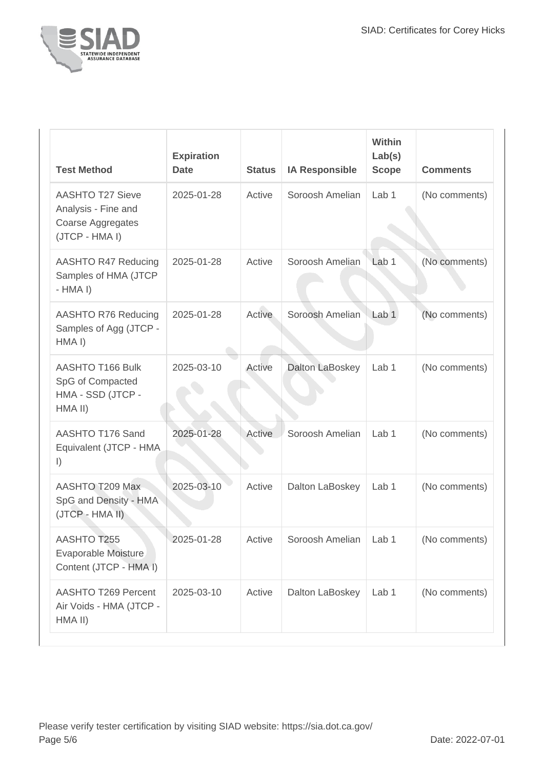

| <b>Test Method</b>                                                                    | <b>Expiration</b><br><b>Date</b> | <b>Status</b> | <b>IA Responsible</b>   | <b>Within</b><br>Lab(s)<br><b>Scope</b> | <b>Comments</b> |
|---------------------------------------------------------------------------------------|----------------------------------|---------------|-------------------------|-----------------------------------------|-----------------|
| <b>AASHTO T27 Sieve</b><br>Analysis - Fine and<br>Coarse Aggregates<br>(JTCP - HMA I) | 2025-01-28                       | Active        | Soroosh Amelian         | Lab <sub>1</sub>                        | (No comments)   |
| AASHTO R47 Reducing<br>Samples of HMA (JTCP<br>$-HMA I$                               | 2025-01-28                       | Active        | Soroosh Amelian         | Lab <sub>1</sub>                        | (No comments)   |
| AASHTO R76 Reducing<br>Samples of Agg (JTCP -<br>HMA I)                               | 2025-01-28                       | Active        | Soroosh Amelian         | Lab <sub>1</sub>                        | (No comments)   |
| AASHTO T166 Bulk<br>SpG of Compacted<br>HMA - SSD (JTCP -<br>HMA II)                  | 2025-03-10                       | Active        | Dalton LaBoskey         | Lab 1                                   | (No comments)   |
| AASHTO T176 Sand<br>Equivalent (JTCP - HMA)<br>$\vert$ )                              | 2025-01-28                       | Active        | Soroosh Amelian         | Lab 1                                   | (No comments)   |
| AASHTO T209 Max<br>SpG and Density - HMA<br>(JTCP - HMA II)                           | 2025-03-10                       | Active        | Dalton LaBoskey         | Lab 1                                   | (No comments)   |
| AASHTO T255<br>Evaporable Moisture<br>Content (JTCP - HMA I)                          | 2025-01-28                       | Active        | Soroosh Amelian   Lab 1 |                                         | (No comments)   |
| <b>AASHTO T269 Percent</b><br>Air Voids - HMA (JTCP -<br>HMA II)                      | 2025-03-10                       | Active        | Dalton LaBoskey         | Lab 1                                   | (No comments)   |